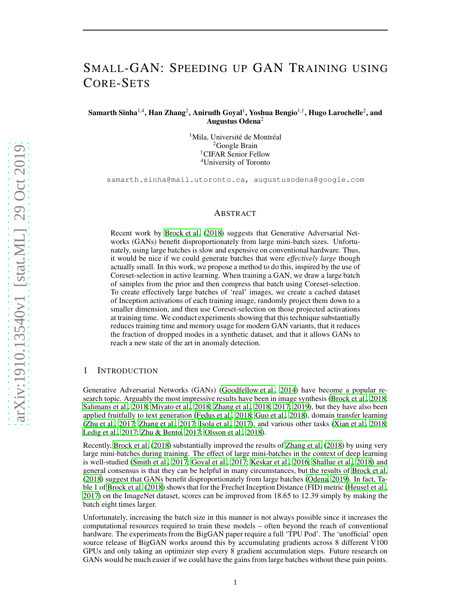# SMALL-GAN: SPEEDING UP GAN TRAINING USING CORE-SETS

Samarth Sinha $^{1,4}$ , Han Zhang $^2$ , Anirudh Goyal $^1$ , Yoshua Bengio $^{1,\dagger}$ , Hugo Larochelle $^2$ , and Augustus Odena<sup>2</sup>

> <sup>1</sup>Mila, Université de Montréal <sup>2</sup>Google Brain †CIFAR Senior Fellow <sup>4</sup>University of Toronto

samarth.sinha@mail.utoronto.ca, augustusodena@google.com

#### ABSTRACT

Recent work by [Brock et al. \(2018\)](#page-8-0) suggests that Generative Adversarial Networks (GANs) benefit disproportionately from large mini-batch sizes. Unfortunately, using large batches is slow and expensive on conventional hardware. Thus, it would be nice if we could generate batches that were *effectively large* though actually small. In this work, we propose a method to do this, inspired by the use of Coreset-selection in active learning. When training a GAN, we draw a large batch of samples from the prior and then compress that batch using Coreset-selection. To create effectively large batches of 'real' images, we create a cached dataset of Inception activations of each training image, randomly project them down to a smaller dimension, and then use Coreset-selection on those projected activations at training time. We conduct experiments showing that this technique substantially reduces training time and memory usage for modern GAN variants, that it reduces the fraction of dropped modes in a synthetic dataset, and that it allows GANs to reach a new state of the art in anomaly detection.

# 1 INTRODUCTION

Generative Adversarial Networks (GANs) [\(Goodfellow et al., 2014\)](#page-9-0) have become a popular research topic. Arguably the most impressive results have been in image synthesis [\(Brock et al., 2018](#page-8-0); [Salimans et al.](#page-10-0), [2018;](#page-10-0) [Miyato et al., 2018;](#page-10-1) [Zhang et al., 2018;](#page-11-0) [2017](#page-11-1); [2019\)](#page-11-2), but they have also been applied fruitfully to text generation [\(Fedus et al.](#page-9-1), [2018;](#page-9-1) [Guo et al.](#page-9-2), [2018\)](#page-9-2), domain transfer learning [\(Zhu et al.](#page-11-3), [2017;](#page-11-3) [Zhang et al., 2017;](#page-11-1) [Isola et al.](#page-9-3), [2017\)](#page-9-3), and various other tasks [\(Xian et al., 2018](#page-11-4); [Ledig et al.](#page-10-2), [2017;](#page-10-2) [Zhu & Bento, 2017;](#page-11-5) [Olsson et al., 2018\)](#page-10-3).

Recently, [Brock et al.](#page-8-0) [\(2018\)](#page-8-0) substantially improved the results of [Zhang et al.](#page-11-0) [\(2018\)](#page-11-0) by using very large mini-batches during training. The effect of large mini-batches in the context of deep learning is well-studied [\(Smith et al., 2017;](#page-11-6) [Goyal et al.](#page-9-4), [2017;](#page-9-4) [Keskar et al., 2016](#page-9-5); [Shallue et al.](#page-11-7), [2018\)](#page-11-7) and general consensus is that they can be helpful in many circumstances, but the results of [Brock et al.](#page-8-0) [\(2018\)](#page-8-0) suggest that GANs benefit disproportionately from large batches [\(Odena](#page-10-4), [2019](#page-10-4)). In fact, Table 1 of [Brock et al. \(2018](#page-8-0)) shows that for the Frechet Inception Distance (FID) metric [\(Heusel et al.,](#page-9-6) [2017\)](#page-9-6) on the ImageNet dataset, scores can be improved from 18.65 to 12.39 simply by making the batch eight times larger.

Unfortunately, increasing the batch size in this manner is not always possible since it increases the computational resources required to train these models – often beyond the reach of conventional hardware. The experiments from the BigGAN paper require a full 'TPU Pod'. The 'unofficial' open source release of BigGAN works around this by accumulating gradients across 8 different V100 GPUs and only taking an optimizer step every 8 gradient accumulation steps. Future research on GANs would be much easier if we could have the gains from large batches without these pain points.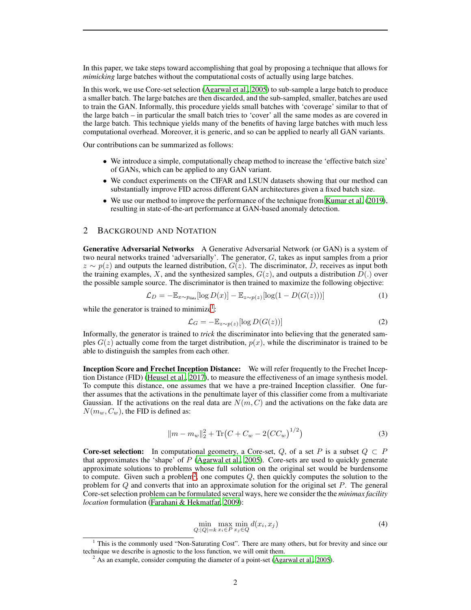In this paper, we take steps toward accomplishing that goal by proposing a technique that allows for *mimicking* large batches without the computational costs of actually using large batches.

In this work, we use Core-set selection [\(Agarwal et al.](#page-8-1), [2005\)](#page-8-1) to sub-sample a large batch to produce a smaller batch. The large batches are then discarded, and the sub-sampled, smaller, batches are used to train the GAN. Informally, this procedure yields small batches with 'coverage' similar to that of the large batch – in particular the small batch tries to 'cover' all the same modes as are covered in the large batch. This technique yields many of the benefits of having large batches with much less computational overhead. Moreover, it is generic, and so can be applied to nearly all GAN variants.

Our contributions can be summarized as follows:

- We introduce a simple, computationally cheap method to increase the 'effective batch size' of GANs, which can be applied to any GAN variant.
- We conduct experiments on the CIFAR and LSUN datasets showing that our method can substantially improve FID across different GAN architectures given a fixed batch size.
- We use our method to improve the performance of the technique from [Kumar et al. \(2019](#page-10-5)), resulting in state-of-the-art performance at GAN-based anomaly detection.

## 2 BACKGROUND AND NOTATION

Generative Adversarial Networks A Generative Adversarial Network (or GAN) is a system of two neural networks trained 'adversarially'. The generator, G, takes as input samples from a prior  $z \sim p(z)$  and outputs the learned distribution,  $G(z)$ . The discriminator, D, receives as input both the training examples, X, and the synthesized samples,  $G(z)$ , and outputs a distribution  $D(.)$  over the possible sample source. The discriminator is then trained to maximize the following objective:

<span id="page-1-2"></span>
$$
\mathcal{L}_D = -\mathbb{E}_{x \sim p_{\text{data}}}[\log D(x)] - \mathbb{E}_{z \sim p(z)}[\log(1 - D(G(z)))] \tag{1}
$$

while the generator is trained to minimize<sup>[1](#page-1-0)</sup>:

<span id="page-1-3"></span>
$$
\mathcal{L}_G = -\mathbb{E}_{z \sim p(z)}[\log D(G(z))]
$$
\n(2)

Informally, the generator is trained to *trick* the discriminator into believing that the generated samples  $G(z)$  actually come from the target distribution,  $p(x)$ , while the discriminator is trained to be able to distinguish the samples from each other.

Inception Score and Frechet Inception Distance: We will refer frequently to the Frechet Inception Distance (FID) [\(Heusel et al.](#page-9-6), [2017\)](#page-9-6), to measure the effectiveness of an image synthesis model. To compute this distance, one assumes that we have a pre-trained Inception classifier. One further assumes that the activations in the penultimate layer of this classifier come from a multivariate Gaussian. If the activations on the real data are  $N(m, C)$  and the activations on the fake data are  $N(m_w, C_w)$ , the FID is defined as:

$$
||m - m_w||_2^2 + \text{Tr}\big(C + C_w - 2(CC_w)^{1/2}\big) \tag{3}
$$

**Core-set selection:** In computational geometry, a Core-set, Q, of a set P is a subset  $Q \subset P$ that approximates the 'shape' of  $P$  [\(Agarwal et al.](#page-8-1), [2005\)](#page-8-1). Core-sets are used to quickly generate approximate solutions to problems whose full solution on the original set would be burdensome to compute. Given such a problem<sup>[2](#page-1-1)</sup>, one computes  $Q$ , then quickly computes the solution to the problem for  $Q$  and converts that into an approximate solution for the original set  $P$ . The general Core-set selection problem can be formulated several ways, here we consider the the *minimax facility location* formulation [\(Farahani & Hekmatfar, 2009\)](#page-9-7):

$$
\min_{Q:|Q|=k} \max_{x_i \in P} \min_{x_j \in Q} d(x_i, x_j) \tag{4}
$$

 $1$  This is the commonly used "Non-Saturating Cost". There are many others, but for brevity and since our technique we describe is agnostic to the loss function, we will omit them.

<span id="page-1-1"></span><span id="page-1-0"></span> $2$  As an example, consider computing the diameter of a point-set [\(Agarwal et al.](#page-8-1), [2005](#page-8-1)).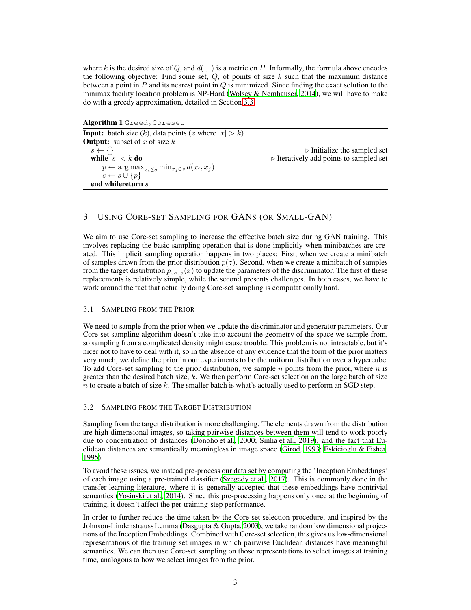where k is the desired size of Q, and  $d(.,.)$  is a metric on P. Informally, the formula above encodes the following objective: Find some set,  $Q$ , of points of size  $k$  such that the maximum distance between a point in  $P$  and its nearest point in  $Q$  is minimized. Since finding the exact solution to the minimax facility location problem is NP-Hard (Wolsey  $\&$  Nemhauser, 2014), we will have to make do with a greedy approximation, detailed in Section [3.3.](#page-3-0)

<span id="page-2-0"></span>Algorithm 1 GreedyCoreset

**Input:** batch size  $(k)$ , data points  $(x \text{ where } |x| > k)$ **Output:** subset of x of size  $k$  $s \leftarrow \{\}$ while  $|s| < k$  do  $\triangleright$  Iteratively add points to sampled set  $p \leftarrow \arg \max_{x_i \notin s} \min_{x_j \in s} d(x_i, x_j)$  $s \leftarrow s \cup \{p\}$ end whilereturn s

# 3 USING CORE-SET SAMPLING FOR GANS (OR SMALL-GAN)

We aim to use Core-set sampling to increase the effective batch size during GAN training. This involves replacing the basic sampling operation that is done implicitly when minibatches are created. This implicit sampling operation happens in two places: First, when we create a minibatch of samples drawn from the prior distribution  $p(z)$ . Second, when we create a minibatch of samples from the target distribution  $p_{data}(x)$  to update the parameters of the discriminator. The first of these replacements is relatively simple, while the second presents challenges. In both cases, we have to work around the fact that actually doing Core-set sampling is computationally hard.

## 3.1 SAMPLING FROM THE PRIOR

We need to sample from the prior when we update the discriminator and generator parameters. Our Core-set sampling algorithm doesn't take into account the geometry of the space we sample from, so sampling from a complicated density might cause trouble. This problem is not intractable, but it's nicer not to have to deal with it, so in the absence of any evidence that the form of the prior matters very much, we define the prior in our experiments to be the uniform distribution over a hypercube. To add Core-set sampling to the prior distribution, we sample  $n$  points from the prior, where  $n$  is greater than the desired batch size,  $k$ . We then perform Core-set selection on the large batch of size  $n$  to create a batch of size  $k$ . The smaller batch is what's actually used to perform an SGD step.

## 3.2 SAMPLING FROM THE TARGET DISTRIBUTION

Sampling from the target distribution is more challenging. The elements drawn from the distribution are high dimensional images, so taking pairwise distances between them will tend to work poorly due to concentration of distances [\(Donoho et al.](#page-8-2), [2000;](#page-8-2) [Sinha et al.](#page-11-9), [2019\)](#page-11-9), and the fact that Euclidean distances are semantically meaningless in image space [\(Girod](#page-9-8), [1993;](#page-9-8) [Eskicioglu & Fisher,](#page-9-9) [1995\)](#page-9-9).

To avoid these issues, we instead pre-process our data set by computing the 'Inception Embeddings' of each image using a pre-trained classifier [\(Szegedy et al.](#page-11-10), [2017\)](#page-11-10). This is commonly done in the transfer-learning literature, where it is generally accepted that these embeddings have nontrivial semantics [\(Yosinski et al., 2014](#page-11-11)). Since this pre-processing happens only once at the beginning of training, it doesn't affect the per-training-step performance.

In order to further reduce the time taken by the Core-set selection procedure, and inspired by the Johnson-Lindenstrauss Lemma [\(Dasgupta & Gupta, 2003](#page-8-3)), we take random low dimensional projections of the Inception Embeddings. Combined with Core-set selection, this gives us low-dimensional representations of the training set images in which pairwise Euclidean distances have meaningful semantics. We can then use Core-set sampling on those representations to select images at training time, analogous to how we select images from the prior.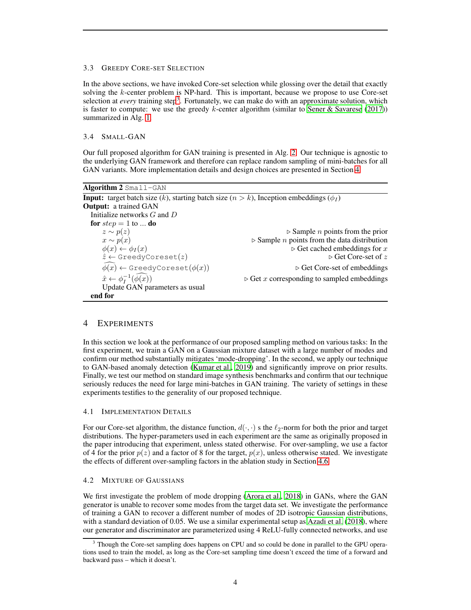#### <span id="page-3-0"></span>3.3 GREEDY CORE-SET SELECTION

In the above sections, we have invoked Core-set selection while glossing over the detail that exactly solving the k-center problem is NP-hard. This is important, because we propose to use Core-set selection at *every* training step<sup>[3](#page-3-1)</sup>. Fortunately, we can make do with an approximate solution, which is faster to compute: we use the greedy k-center algorithm (similar to [Sener & Savarese \(2017\)](#page-10-6)) summarized in Alg. [1.](#page-2-0)

#### 3.4 SMALL-GAN

Our full proposed algorithm for GAN training is presented in Alg. [2.](#page-3-2) Our technique is agnostic to the underlying GAN framework and therefore can replace random sampling of mini-batches for all GAN variants. More implementation details and design choices are presented in Section [4.](#page-3-3)

<span id="page-3-2"></span>

| Algorithm $2$ Small-GAN                                                                                 |                                                                    |
|---------------------------------------------------------------------------------------------------------|--------------------------------------------------------------------|
| <b>Input:</b> target batch size (k), starting batch size ( $n > k$ ), Inception embeddings ( $\phi_I$ ) |                                                                    |
| <b>Output:</b> a trained GAN                                                                            |                                                                    |
| Initialize networks $G$ and $D$                                                                         |                                                                    |
| for $step = 1$ to  do                                                                                   |                                                                    |
| $z \sim p(z)$                                                                                           | $\triangleright$ Sample <i>n</i> points from the prior             |
| $x \sim p(x)$                                                                                           | $\triangleright$ Sample <i>n</i> points from the data distribution |
| $\phi(x) \leftarrow \phi_I(x)$                                                                          | $\triangleright$ Get cached embeddings for x                       |
| $\hat{z} \leftarrow$ GreedyCoreset(z)                                                                   | $\triangleright$ Get Core-set of z                                 |
| $\phi(x) \leftarrow$ GreedyCoreset $(\phi(x))$                                                          | $\triangleright$ Get Core-set of embeddings                        |
| $\hat{x} \leftarrow \phi_t^{-1}(\widehat{\phi(x)})$                                                     | $\triangleright$ Get x corresponding to sampled embeddings         |
| Update GAN parameters as usual                                                                          |                                                                    |
| end for                                                                                                 |                                                                    |

## <span id="page-3-3"></span>4 EXPERIMENTS

In this section we look at the performance of our proposed sampling method on various tasks: In the first experiment, we train a GAN on a Gaussian mixture dataset with a large number of modes and confirm our method substantially mitigates 'mode-dropping'. In the second, we apply our technique to GAN-based anomaly detection [\(Kumar et al.](#page-10-5), [2019](#page-10-5)) and significantly improve on prior results. Finally, we test our method on standard image synthesis benchmarks and confirm that our technique seriously reduces the need for large mini-batches in GAN training. The variety of settings in these experiments testifies to the generality of our proposed technique.

#### 4.1 IMPLEMENTATION DETAILS

For our Core-set algorithm, the distance function,  $d(\cdot, \cdot)$  s the  $\ell_2$ -norm for both the prior and target distributions. The hyper-parameters used in each experiment are the same as originally proposed in the paper introducing that experiment, unless stated otherwise. For over-sampling, we use a factor of 4 for the prior  $p(z)$  and a factor of 8 for the target,  $p(x)$ , unless otherwise stated. We investigate the effects of different over-sampling factors in the ablation study in Section [4.6.](#page-6-0)

#### <span id="page-3-4"></span>4.2 MIXTURE OF GAUSSIANS

We first investigate the problem of mode dropping [\(Arora et al.](#page-8-4), [2018\)](#page-8-4) in GANs, where the GAN generator is unable to recover some modes from the target data set. We investigate the performance of training a GAN to recover a different number of modes of 2D isotropic Gaussian distributions, with a standard deviation of 0.05. We use a similar experimental setup as [Azadi et al.](#page-8-5) [\(2018\)](#page-8-5), where our generator and discriminator are parameterized using 4 ReLU-fully connected networks, and use

<span id="page-3-1"></span><sup>&</sup>lt;sup>3</sup> Though the Core-set sampling does happens on CPU and so could be done in parallel to the GPU operations used to train the model, as long as the Core-set sampling time doesn't exceed the time of a forward and backward pass – which it doesn't.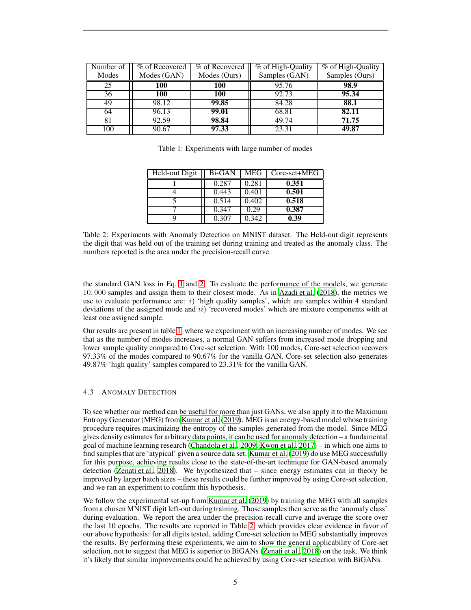| Number of<br>Modes | % of Recovered<br>Modes (GAN) | % of Recovered<br>Modes (Ours) | % of High-Quality<br>Samples (GAN) | % of High-Quality<br>Samples (Ours) |
|--------------------|-------------------------------|--------------------------------|------------------------------------|-------------------------------------|
| 25                 | 100                           | 100                            | 95.76                              | 98.9                                |
| 36                 | 100                           | 100                            | 92.73                              | 95.34                               |
| 49                 | 98.12                         | 99.85                          | 84.28                              | 88.1                                |
| 64                 | 96.13                         | 99.01                          | 68.81                              | 82.11                               |
| 81                 | 92.59                         | 98.84                          | 49.74                              | 71.75                               |
| 100                | 90.67                         | 97.33                          | 23.31                              | 49.87                               |

<span id="page-4-0"></span>Table 1: Experiments with large number of modes

| Held-out Digit | Bi-GAN | MEG   | Core-set+MEG |
|----------------|--------|-------|--------------|
|                | 0.287  | 0.281 | 0.351        |
|                | 0.443  | 0.401 | 0.501        |
|                | 0.514  | 0.402 | 0.518        |
|                | 0.347  | 0.29  | 0.387        |
|                | 0.307  | 0.342 | 0.39         |

<span id="page-4-1"></span>Table 2: Experiments with Anomaly Detection on MNIST dataset. The Held-out digit represents the digit that was held out of the training set during training and treated as the anomaly class. The numbers reported is the area under the precision-recall curve.

the standard GAN loss in Eq. [1](#page-1-2) and [2.](#page-1-3) To evaluate the performance of the models, we generate 10, 000 samples and assign them to their closest mode. As in [Azadi et al. \(2018](#page-8-5)), the metrics we use to evaluate performance are:  $i)$  'high quality samples', which are samples within 4 standard deviations of the assigned mode and  $ii$ ) 'recovered modes' which are mixture components with at least one assigned sample.

Our results are present in table [1,](#page-4-0) where we experiment with an increasing number of modes. We see that as the number of modes increases, a normal GAN suffers from increased mode dropping and lower sample quality compared to Core-set selection. With 100 modes, Core-set selection recovers 97.33% of the modes compared to 90.67% for the vanilla GAN. Core-set selection also generates 49.87% 'high quality' samples compared to 23.31% for the vanilla GAN.

## 4.3 ANOMALY DETECTION

To see whether our method can be useful for more than just GANs, we also apply it to the Maximum Entropy Generator (MEG) from [Kumar et al.](#page-10-5) [\(2019\)](#page-10-5). MEG is an energy-based model whose training procedure requires maximizing the entropy of the samples generated from the model. Since MEG gives density estimates for arbitrary data points, it can be used for anomaly detection – a fundamental goal of machine learning research [\(Chandola et al.](#page-8-6), [2009;](#page-8-6) [Kwon et al.](#page-10-7), [2017\)](#page-10-7) – in which one aims to find samples that are 'atypical' given a source data set. [Kumar et al.](#page-10-5) [\(2019\)](#page-10-5) do use MEG successfully for this purpose, achieving results close to the state-of-the-art technique for GAN-based anomaly detection [\(Zenati et al.](#page-11-12), [2018\)](#page-11-12). We hypothesized that – since energy estimates can in theory be improved by larger batch sizes – these results could be further improved by using Core-set selection, and we ran an experiment to confirm this hypothesis.

We follow the experimental set-up from [Kumar et al.](#page-10-5) [\(2019\)](#page-10-5) by training the MEG with all samples from a chosen MNIST digit left-out during training. Those samples then serve as the 'anomaly class' during evaluation. We report the area under the precision-recall curve and average the score over the last 10 epochs. The results are reported in Table [2,](#page-4-1) which provides clear evidence in favor of our above hypothesis: for all digits tested, adding Core-set selection to MEG substantially improves the results. By performing these experiments, we aim to show the general applicability of Core-set selection, not to suggest that MEG is superior to BiGANs [\(Zenati et al.](#page-11-12), [2018](#page-11-12)) on the task. We think it's likely that similar improvements could be achieved by using Core-set selection with BiGANs.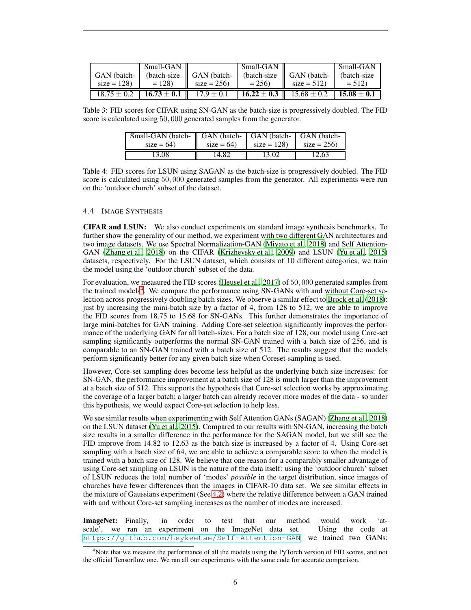|                 | Small-GAN       |                         | Small-GAN |                                              | Small-GAN       |
|-----------------|-----------------|-------------------------|-----------|----------------------------------------------|-----------------|
| GAN (batch-     | (batch-size)    | $\parallel$ GAN (batch- |           | $\theta$ (batch-size $\parallel$ GAN (batch- | (batch-size)    |
| $size = 128$    | $= 128$         | $size = 256$            | $= 256$   | $size = 512$                                 | $= 512$         |
| $18.75 \pm 0.2$ | $16.73 \pm 0.1$ | $17.9 \pm 0.1$          |           | 16.22 $\pm$ 0.3   15.68 $\pm$ 0.2            | $15.08 \pm 0.1$ |

Table 3: FID scores for CIFAR using SN-GAN as the batch-size is progressively doubled. The FID score is calculated using 50, 000 generated samples from the generator.

| Small-GAN (batch- GAN (batch- GAN (batch- GAN (batch- |             |              |              |  |
|-------------------------------------------------------|-------------|--------------|--------------|--|
| $size = 64$                                           | $size = 64$ | $size = 128$ | $size = 256$ |  |
| 13.08                                                 | 14.82       | 13.02        | 12.63        |  |

Table 4: FID scores for LSUN using SAGAN as the batch-size is progressively doubled. The FID score is calculated using 50, 000 generated samples from the generator. All experiments were run on the 'outdoor church' subset of the dataset.

#### 4.4 IMAGE SYNTHESIS

CIFAR and LSUN: We also conduct experiments on standard image synthesis benchmarks. To further show the generality of our method, we experiment with two different GAN architectures and two image datasets. We use Spectral Normalization-GAN [\(Miyato et al.](#page-10-1), [2018\)](#page-10-1) and Self Attention-GAN [\(Zhang et al., 2018\)](#page-11-0) on the CIFAR [\(Krizhevsky et al., 2009\)](#page-9-10) and LSUN [\(Yu et al., 2015\)](#page-11-13) datasets, respectively. For the LSUN dataset, which consists of 10 different categories, we train the model using the 'outdoor church' subset of the data.

For evaluation, we measured the FID scores [\(Heusel et al., 2017\)](#page-9-6) of 50, 000 generated samples from the trained models<sup>[4](#page-5-0)</sup>. We compare the performance using SN-GANs with and without Core-set selection across progressively doubling batch sizes. We observe a similar effect to [Brock et al. \(2018\)](#page-8-0): just by increasing the mini-batch size by a factor of 4, from 128 to 512, we are able to improve the FID scores from 18.75 to 15.68 for SN-GANs. This further demonstrates the importance of large mini-batches for GAN training. Adding Core-set selection significantly improves the performance of the underlying GAN for all batch-sizes. For a batch size of 128, our model using Core-set sampling significantly outperforms the normal SN-GAN trained with a batch size of 256, and is comparable to an SN-GAN trained with a batch size of 512. The results suggest that the models perform significantly better for any given batch size when Coreset-sampling is used.

However, Core-set sampling does become less helpful as the underlying batch size increases: for SN-GAN, the performance improvement at a batch size of 128 is much larger than the improvement at a batch size of 512. This supports the hypothesis that Core-set selection works by approximating the coverage of a larger batch; a larger batch can already recover more modes of the data - so under this hypothesis, we would expect Core-set selection to help less.

We see similar results when experimenting with Self Attention GANs (SAGAN) [\(Zhang et al.](#page-11-0), [2018\)](#page-11-0) on the LSUN dataset [\(Yu et al., 2015\)](#page-11-13). Compared to our results with SN-GAN, increasing the batch size results in a smaller difference in the performance for the SAGAN model, but we still see the FID improve from 14.82 to 12.63 as the batch-size is increased by a factor of 4. Using Core-set sampling with a batch size of 64, we are able to achieve a comparable score to when the model is trained with a batch size of 128. We believe that one reason for a comparably smaller advantage of using Core-set sampling on LSUN is the nature of the data itself: using the 'outdoor church' subset of LSUN reduces the total number of 'modes' *possible* in the target distribution, since images of churches have fewer differences than the images in CIFAR-10 data set. We see similar effects in the mixture of Gaussians experiment (See [4.2\)](#page-3-4) where the relative difference between a GAN trained with and without Core-set sampling increases as the number of modes are increased.

ImageNet: Finally, in order to test that our method would work 'atscale', we ran an experiment on the ImageNet data set. Using the code at <https://github.com/heykeetae/Self-Attention-GAN>, we trained two GANs:

<span id="page-5-0"></span><sup>4</sup>Note that we measure the performance of all the models using the PyTorch version of FID scores, and not the official Tensorflow one. We ran all our experiments with the same code for accurate comparison.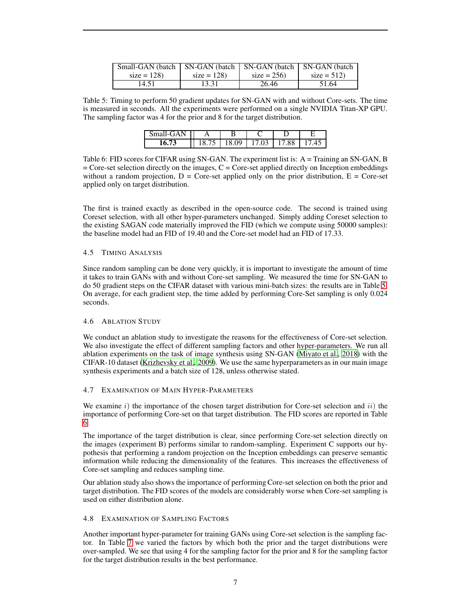| Small-GAN (batch   SN-GAN (batch   SN-GAN (batch   SN-GAN (batch |              |              |              |
|------------------------------------------------------------------|--------------|--------------|--------------|
| $size = 128$                                                     | $size = 128$ | $size = 256$ | $size = 512$ |
| 14.51                                                            | 13.31        | 26.46        | 51.64        |

<span id="page-6-1"></span>Table 5: Timing to perform 50 gradient updates for SN-GAN with and without Core-sets. The time is measured in seconds. All the experiments were performed on a single NVIDIA Titan-XP GPU. The sampling factor was 4 for the prior and 8 for the target distribution.

| S <sub>ma</sub><br>$L(T + A)$ | B |               |  |
|-------------------------------|---|---------------|--|
|                               |   | $\Omega$<br>ີ |  |

<span id="page-6-2"></span>Table 6: FID scores for CIFAR using SN-GAN. The experiment list is: A = Training an SN-GAN, B  $=$  Core-set selection directly on the images, C  $=$  Core-set applied directly on Inception embeddings without a random projection,  $D = \text{Core-set}$  applied only on the prior distribution,  $E = \text{Core-set}$ applied only on target distribution.

The first is trained exactly as described in the open-source code. The second is trained using Coreset selection, with all other hyper-parameters unchanged. Simply adding Coreset selection to the existing SAGAN code materially improved the FID (which we compute using 50000 samples): the baseline model had an FID of 19.40 and the Core-set model had an FID of 17.33.

## 4.5 TIMING ANALYSIS

Since random sampling can be done very quickly, it is important to investigate the amount of time it takes to train GANs with and without Core-set sampling. We measured the time for SN-GAN to do 50 gradient steps on the CIFAR dataset with various mini-batch sizes: the results are in Table [5.](#page-6-1) On average, for each gradient step, the time added by performing Core-Set sampling is only 0.024 seconds.

#### <span id="page-6-0"></span>4.6 ABLATION STUDY

We conduct an ablation study to investigate the reasons for the effectiveness of Core-set selection. We also investigate the effect of different sampling factors and other hyper-parameters. We run all ablation experiments on the task of image synthesis using SN-GAN [\(Miyato et al.](#page-10-1), [2018\)](#page-10-1) with the CIFAR-10 dataset [\(Krizhevsky et al., 2009](#page-9-10)). We use the same hyperparameters as in our main image synthesis experiments and a batch size of 128, unless otherwise stated.

## 4.7 EXAMINATION OF MAIN HYPER-PARAMETERS

We examine  $i)$  the importance of the chosen target distribution for Core-set selection and  $ii)$  the importance of performing Core-set on that target distribution. The FID scores are reported in Table [6.](#page-6-2)

The importance of the target distribution is clear, since performing Core-set selection directly on the images (experiment B) performs similar to random-sampling. Experiment C supports our hypothesis that performing a random projection on the Inception embeddings can preserve semantic information while reducing the dimensionality of the features. This increases the effectiveness of Core-set sampling and reduces sampling time.

Our ablation study also shows the importance of performing Core-set selection on both the prior and target distribution. The FID scores of the models are considerably worse when Core-set sampling is used on either distribution alone.

## 4.8 EXAMINATION OF SAMPLING FACTORS

Another important hyper-parameter for training GANs using Core-set selection is the sampling factor. In Table [7](#page-7-0) we varied the factors by which both the prior and the target distributions were over-sampled. We see that using 4 for the sampling factor for the prior and 8 for the sampling factor for the target distribution results in the best performance.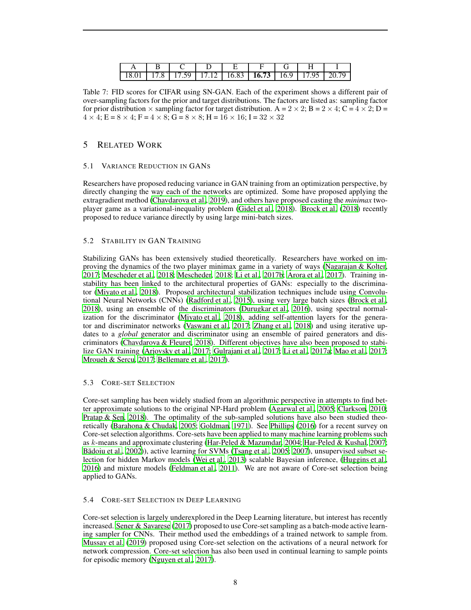|  |  | 18.01   17.8   17.59   17.12   16.83   16.73   16.9   17.95   20.79 |  |  |
|--|--|---------------------------------------------------------------------|--|--|

<span id="page-7-0"></span>Table 7: FID scores for CIFAR using SN-GAN. Each of the experiment shows a different pair of over-sampling factors for the prior and target distributions. The factors are listed as: sampling factor for prior distribution  $\times$  sampling factor for target distribution. A = 2  $\times$  2; B = 2  $\times$  4; C = 4  $\times$  2; D =  $4 \times 4$ ; E =  $8 \times 4$ ; F =  $4 \times 8$ ; G =  $8 \times 8$ ; H =  $16 \times 16$ ; I =  $32 \times 32$ 

# 5 RELATED WORK

## 5.1 VARIANCE REDUCTION IN GANS

Researchers have proposed reducing variance in GAN training from an optimization perspective, by directly changing the way each of the networks are optimized. Some have proposed applying the extragradient method [\(Chavdarova et al., 2019\)](#page-8-7), and others have proposed casting the *minimax* twoplayer game as a variational-inequality problem [\(Gidel et al.](#page-9-11), [2018](#page-9-11)). [Brock et al. \(2018](#page-8-0)) recently proposed to reduce variance directly by using large mini-batch sizes.

## 5.2 STABILITY IN GAN TRAINING

Stabilizing GANs has been extensively studied theoretically. Researchers have worked on improving the dynamics of the two player minimax game in a variety of ways [\(Nagarajan & Kolter,](#page-10-8) [2017;](#page-10-8) [Mescheder et al., 2018](#page-10-9); [Mescheder, 2018;](#page-10-10) [Li et al.](#page-10-11), [2017b;](#page-10-11) [Arora et al., 2017\)](#page-8-8). Training instability has been linked to the architectural properties of GANs: especially to the discriminator [\(Miyato et al., 2018\)](#page-10-1). Proposed architectural stabilization techniques include using Convolutional Neural Networks (CNNs) [\(Radford et al., 2015\)](#page-10-12), using very large batch sizes [\(Brock et al.,](#page-8-0) [2018\)](#page-8-0), using an ensemble of the discriminators [\(Durugkar et](#page-9-12) al., [2016\)](#page-9-12), using spectral normalization for the discriminator [\(Miyato et al., 2018](#page-10-1)), adding self-attention layers for the generator and discriminator networks [\(Vaswani et al.](#page-11-14), [2017;](#page-11-14) [Zhang](#page-11-0) et al., [2018\)](#page-11-0) and using iterative updates to a *global* generator and discriminator using an ensemble of paired generators and discriminators [\(Chavdarova & Fleuret, 2018](#page-8-9)). Different objectives have also been proposed to stabilize GAN training [\(Arjovsky et al.](#page-8-10), [2017;](#page-8-10) [Gulrajani et al.](#page-9-13), [2017;](#page-9-13) [Li et al., 2017a;](#page-10-13) [Mao et al., 2017](#page-10-14); [Mroueh & Sercu, 2017;](#page-10-15) [Bellemare et al., 2017\)](#page-8-11).

## 5.3 CORE-SET SELECTION

Core-set sampling has been widely studied from an algorithmic perspective in attempts to find better approximate solutions to the original NP-Hard problem [\(Agarwal et al.](#page-8-1), [2005;](#page-8-1) [Clarkson, 2010](#page-8-12); [Pratap & Sen](#page-10-16), [2018\)](#page-10-16). The optimality of the sub-sampled solutions have also been studied theoretically [\(Barahona & Chudak, 2005;](#page-8-13) [Goldman, 1971](#page-9-14)). See [Phillips \(2016\)](#page-10-17) for a recent survey on Core-set selection algorithms. Core-sets have been applied to many machine learning problems such as k-means and approximate clustering [\(Har-Peled & Mazumdar, 2004](#page-9-15); [Har-Peled & Kushal, 2007](#page-9-16); Bādoiu et al., 2002)), active learning for SVMs [\(Tsang et al., 2005;](#page-11-15) [2007\)](#page-11-16), unsupervised subset selection for hidden Markov models [\(Wei et al., 2013\)](#page-11-17) scalable Bayesian inference, [\(Huggins et al.,](#page-9-17) [2016\)](#page-9-17) and mixture models [\(Feldman et al., 2011\)](#page-9-18). We are not aware of Core-set selection being applied to GANs.

## 5.4 CORE-SET SELECTION IN DEEP LEARNING

Core-set selection is largely underexplored in the Deep Learning literature, but interest has recently increased. [Sener & Savarese](#page-10-6) [\(2017\)](#page-10-6) proposed to use Core-setsampling as a batch-mode active learning sampler for CNNs. Their method used the embeddings of a trained network to sample from. [Mussay et al.](#page-10-18) [\(2019\)](#page-10-18) proposed using Core-set selection on the activations of a neural network for network compression. Core-set selection has also been used in continual learning to sample points for episodic memory [\(Nguyen et al.](#page-10-19), [2017](#page-10-19)).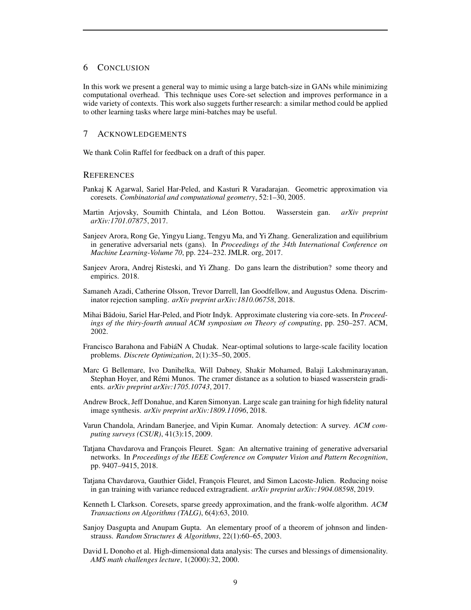#### 6 CONCLUSION

In this work we present a general way to mimic using a large batch-size in GANs while minimizing computational overhead. This technique uses Core-set selection and improves performance in a wide variety of contexts. This work also suggets further research: a similar method could be applied to other learning tasks where large mini-batches may be useful.

## 7 ACKNOWLEDGEMENTS

We thank Colin Raffel for feedback on a draft of this paper.

#### **REFERENCES**

- <span id="page-8-1"></span>Pankaj K Agarwal, Sariel Har-Peled, and Kasturi R Varadarajan. Geometric approximation via coresets. *Combinatorial and computational geometry*, 52:1–30, 2005.
- <span id="page-8-10"></span>Martin Arjovsky, Soumith Chintala, and L´eon Bottou. Wasserstein gan. *arXiv preprint arXiv:1701.07875*, 2017.
- <span id="page-8-8"></span>Sanjeev Arora, Rong Ge, Yingyu Liang, Tengyu Ma, and Yi Zhang. Generalization and equilibrium in generative adversarial nets (gans). In *Proceedings of the 34th International Conference on Machine Learning-Volume 70*, pp. 224–232. JMLR. org, 2017.
- <span id="page-8-4"></span>Sanjeev Arora, Andrej Risteski, and Yi Zhang. Do gans learn the distribution? some theory and empirics. 2018.
- <span id="page-8-5"></span>Samaneh Azadi, Catherine Olsson, Trevor Darrell, Ian Goodfellow, and Augustus Odena. Discriminator rejection sampling. *arXiv preprint arXiv:1810.06758*, 2018.
- <span id="page-8-14"></span>Mihai B¯adoiu, Sariel Har-Peled, and Piotr Indyk. Approximate clustering via core-sets. In *Proceedings of the thiry-fourth annual ACM symposium on Theory of computing*, pp. 250–257. ACM, 2002.
- <span id="page-8-13"></span>Francisco Barahona and FabiáN A Chudak. Near-optimal solutions to large-scale facility location problems. *Discrete Optimization*, 2(1):35–50, 2005.
- <span id="page-8-11"></span>Marc G Bellemare, Ivo Danihelka, Will Dabney, Shakir Mohamed, Balaji Lakshminarayanan, Stephan Hoyer, and Rémi Munos. The cramer distance as a solution to biased wasserstein gradients. *arXiv preprint arXiv:1705.10743*, 2017.
- <span id="page-8-0"></span>Andrew Brock, Jeff Donahue, and Karen Simonyan. Large scale gan training for high fidelity natural image synthesis. *arXiv preprint arXiv:1809.11096*, 2018.
- <span id="page-8-6"></span>Varun Chandola, Arindam Banerjee, and Vipin Kumar. Anomaly detection: A survey. *ACM computing surveys (CSUR)*, 41(3):15, 2009.
- <span id="page-8-9"></span>Tatjana Chavdarova and François Fleuret. Sgan: An alternative training of generative adversarial networks. In *Proceedings of the IEEE Conference on Computer Vision and Pattern Recognition*, pp. 9407–9415, 2018.
- <span id="page-8-7"></span>Tatjana Chavdarova, Gauthier Gidel, François Fleuret, and Simon Lacoste-Julien. Reducing noise in gan training with variance reduced extragradient. *arXiv preprint arXiv:1904.08598*, 2019.
- <span id="page-8-12"></span>Kenneth L Clarkson. Coresets, sparse greedy approximation, and the frank-wolfe algorithm. *ACM Transactions on Algorithms (TALG)*, 6(4):63, 2010.
- <span id="page-8-3"></span>Sanjoy Dasgupta and Anupam Gupta. An elementary proof of a theorem of johnson and lindenstrauss. *Random Structures & Algorithms*, 22(1):60–65, 2003.
- <span id="page-8-2"></span>David L Donoho et al. High-dimensional data analysis: The curses and blessings of dimensionality. *AMS math challenges lecture*, 1(2000):32, 2000.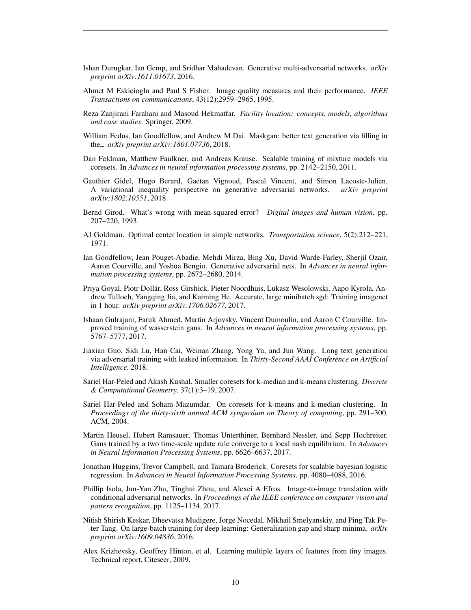- <span id="page-9-12"></span>Ishan Durugkar, Ian Gemp, and Sridhar Mahadevan. Generative multi-adversarial networks. *arXiv preprint arXiv:1611.01673*, 2016.
- <span id="page-9-9"></span>Ahmet M Eskicioglu and Paul S Fisher. Image quality measures and their performance. *IEEE Transactions on communications*, 43(12):2959–2965, 1995.
- <span id="page-9-7"></span>Reza Zanjirani Farahani and Masoud Hekmatfar. *Facility location: concepts, models, algorithms and case studies*. Springer, 2009.
- <span id="page-9-1"></span>William Fedus, Ian Goodfellow, and Andrew M Dai. Maskgan: better text generation via filling in the . *arXiv preprint arXiv:1801.07736*, 2018.
- <span id="page-9-18"></span>Dan Feldman, Matthew Faulkner, and Andreas Krause. Scalable training of mixture models via coresets. In *Advances in neural information processing systems*, pp. 2142–2150, 2011.
- <span id="page-9-11"></span>Gauthier Gidel, Hugo Berard, Gaëtan Vignoud, Pascal Vincent, and Simon Lacoste-Julien. A variational inequality perspective on generative adversarial networks. *arXiv preprint arXiv:1802.10551*, 2018.
- <span id="page-9-8"></span>Bernd Girod. What's wrong with mean-squared error? *Digital images and human vision*, pp. 207–220, 1993.
- <span id="page-9-14"></span>AJ Goldman. Optimal center location in simple networks. *Transportation science*, 5(2):212–221, 1971.
- <span id="page-9-0"></span>Ian Goodfellow, Jean Pouget-Abadie, Mehdi Mirza, Bing Xu, David Warde-Farley, Sherjil Ozair, Aaron Courville, and Yoshua Bengio. Generative adversarial nets. In *Advances in neural information processing systems*, pp. 2672–2680, 2014.
- <span id="page-9-4"></span>Priya Goyal, Piotr Dollár, Ross Girshick, Pieter Noordhuis, Lukasz Wesolowski, Aapo Kyrola, Andrew Tulloch, Yangqing Jia, and Kaiming He. Accurate, large minibatch sgd: Training imagenet in 1 hour. *arXiv preprint arXiv:1706.02677*, 2017.
- <span id="page-9-13"></span>Ishaan Gulrajani, Faruk Ahmed, Martin Arjovsky, Vincent Dumoulin, and Aaron C Courville. Improved training of wasserstein gans. In *Advances in neural information processing systems*, pp. 5767–5777, 2017.
- <span id="page-9-2"></span>Jiaxian Guo, Sidi Lu, Han Cai, Weinan Zhang, Yong Yu, and Jun Wang. Long text generation via adversarial training with leaked information. In *Thirty-Second AAAI Conference on Artificial Intelligence*, 2018.
- <span id="page-9-16"></span>Sariel Har-Peled and Akash Kushal. Smaller coresets for k-median and k-means clustering. *Discrete & Computational Geometry*, 37(1):3–19, 2007.
- <span id="page-9-15"></span>Sariel Har-Peled and Soham Mazumdar. On coresets for k-means and k-median clustering. In *Proceedings of the thirty-sixth annual ACM symposium on Theory of computing*, pp. 291–300. ACM, 2004.
- <span id="page-9-6"></span>Martin Heusel, Hubert Ramsauer, Thomas Unterthiner, Bernhard Nessler, and Sepp Hochreiter. Gans trained by a two time-scale update rule converge to a local nash equilibrium. In *Advances in Neural Information Processing Systems*, pp. 6626–6637, 2017.
- <span id="page-9-17"></span>Jonathan Huggins, Trevor Campbell, and Tamara Broderick. Coresets for scalable bayesian logistic regression. In *Advances in Neural Information Processing Systems*, pp. 4080–4088, 2016.
- <span id="page-9-3"></span>Phillip Isola, Jun-Yan Zhu, Tinghui Zhou, and Alexei A Efros. Image-to-image translation with conditional adversarial networks. In *Proceedings of the IEEE conference on computer vision and pattern recognition*, pp. 1125–1134, 2017.
- <span id="page-9-5"></span>Nitish Shirish Keskar, Dheevatsa Mudigere, Jorge Nocedal, Mikhail Smelyanskiy, and Ping Tak Peter Tang. On large-batch training for deep learning: Generalization gap and sharp minima. *arXiv preprint arXiv:1609.04836*, 2016.
- <span id="page-9-10"></span>Alex Krizhevsky, Geoffrey Hinton, et al. Learning multiple layers of features from tiny images. Technical report, Citeseer, 2009.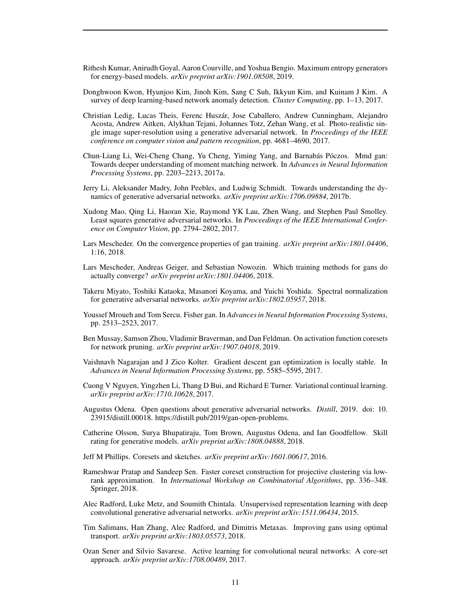- <span id="page-10-5"></span>Rithesh Kumar, Anirudh Goyal, Aaron Courville, and Yoshua Bengio. Maximum entropy generators for energy-based models. *arXiv preprint arXiv:1901.08508*, 2019.
- <span id="page-10-7"></span>Donghwoon Kwon, Hyunjoo Kim, Jinoh Kim, Sang C Suh, Ikkyun Kim, and Kuinam J Kim. A survey of deep learning-based network anomaly detection. *Cluster Computing*, pp. 1–13, 2017.
- <span id="page-10-2"></span>Christian Ledig, Lucas Theis, Ferenc Husz´ar, Jose Caballero, Andrew Cunningham, Alejandro Acosta, Andrew Aitken, Alykhan Tejani, Johannes Totz, Zehan Wang, et al. Photo-realistic single image super-resolution using a generative adversarial network. In *Proceedings of the IEEE conference on computer vision and pattern recognition*, pp. 4681–4690, 2017.
- <span id="page-10-13"></span>Chun-Liang Li, Wei-Cheng Chang, Yu Cheng, Yiming Yang, and Barnabás Póczos. Mmd gan: Towards deeper understanding of moment matching network. In *Advances in Neural Information Processing Systems*, pp. 2203–2213, 2017a.
- <span id="page-10-11"></span>Jerry Li, Aleksander Madry, John Peebles, and Ludwig Schmidt. Towards understanding the dynamics of generative adversarial networks. *arXiv preprint arXiv:1706.09884*, 2017b.
- <span id="page-10-14"></span>Xudong Mao, Qing Li, Haoran Xie, Raymond YK Lau, Zhen Wang, and Stephen Paul Smolley. Least squares generative adversarial networks. In *Proceedings of the IEEE International Conference on Computer Vision*, pp. 2794–2802, 2017.
- <span id="page-10-10"></span>Lars Mescheder. On the convergence properties of gan training. *arXiv preprint arXiv:1801.04406*, 1:16, 2018.
- <span id="page-10-9"></span>Lars Mescheder, Andreas Geiger, and Sebastian Nowozin. Which training methods for gans do actually converge? *arXiv preprint arXiv:1801.04406*, 2018.
- <span id="page-10-1"></span>Takeru Miyato, Toshiki Kataoka, Masanori Koyama, and Yuichi Yoshida. Spectral normalization for generative adversarial networks. *arXiv preprint arXiv:1802.05957*, 2018.
- <span id="page-10-15"></span>Youssef Mroueh and Tom Sercu. Fisher gan. In *Advances in Neural Information Processing Systems*, pp. 2513–2523, 2017.
- <span id="page-10-18"></span>Ben Mussay, Samson Zhou, Vladimir Braverman, and Dan Feldman. On activation function coresets for network pruning. *arXiv preprint arXiv:1907.04018*, 2019.
- <span id="page-10-8"></span>Vaishnavh Nagarajan and J Zico Kolter. Gradient descent gan optimization is locally stable. In *Advances in Neural Information Processing Systems*, pp. 5585–5595, 2017.
- <span id="page-10-19"></span>Cuong V Nguyen, Yingzhen Li, Thang D Bui, and Richard E Turner. Variational continual learning. *arXiv preprint arXiv:1710.10628*, 2017.
- <span id="page-10-4"></span>Augustus Odena. Open questions about generative adversarial networks. *Distill*, 2019. doi: 10. 23915/distill.00018. https://distill.pub/2019/gan-open-problems.
- <span id="page-10-3"></span>Catherine Olsson, Surya Bhupatiraju, Tom Brown, Augustus Odena, and Ian Goodfellow. Skill rating for generative models. *arXiv preprint arXiv:1808.04888*, 2018.
- <span id="page-10-17"></span>Jeff M Phillips. Coresets and sketches. *arXiv preprint arXiv:1601.00617*, 2016.
- <span id="page-10-16"></span>Rameshwar Pratap and Sandeep Sen. Faster coreset construction for projective clustering via lowrank approximation. In *International Workshop on Combinatorial Algorithms*, pp. 336–348. Springer, 2018.
- <span id="page-10-12"></span>Alec Radford, Luke Metz, and Soumith Chintala. Unsupervised representation learning with deep convolutional generative adversarial networks. *arXiv preprint arXiv:1511.06434*, 2015.
- <span id="page-10-0"></span>Tim Salimans, Han Zhang, Alec Radford, and Dimitris Metaxas. Improving gans using optimal transport. *arXiv preprint arXiv:1803.05573*, 2018.
- <span id="page-10-6"></span>Ozan Sener and Silvio Savarese. Active learning for convolutional neural networks: A core-set approach. *arXiv preprint arXiv:1708.00489*, 2017.